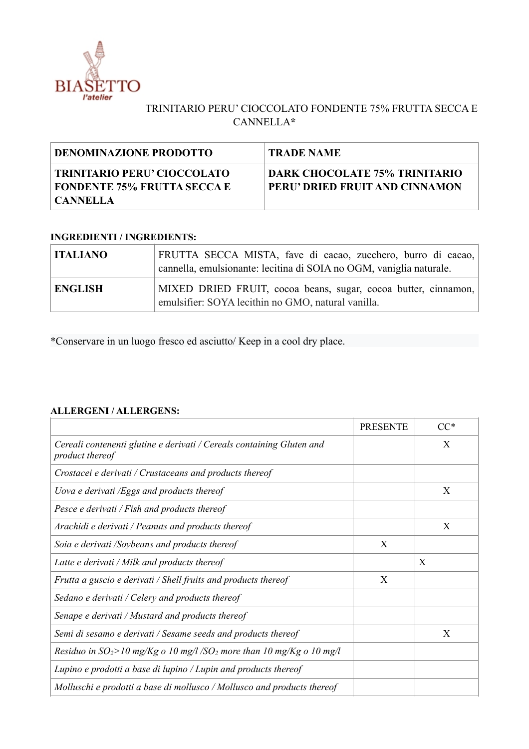

## TRINITARIO PERU' CIOCCOLATO FONDENTE 75% FRUTTA SECCA E CANNELLA**\***

| <b>DENOMINAZIONE PRODOTTO</b>                                                   | <b>TRADE NAME</b>                                                      |
|---------------------------------------------------------------------------------|------------------------------------------------------------------------|
| TRINITARIO PERU' CIOCCOLATO<br><b>FONDENTE 75% FRUTTA SECCA E</b><br>  CANNELLA | <b>DARK CHOCOLATE 75% TRINITARIO</b><br>PERU' DRIED FRUIT AND CINNAMON |

## **INGREDIENTI / INGREDIENTS:**

| <b>ITALIANO</b> | FRUTTA SECCA MISTA, fave di cacao, zucchero, burro di cacao,<br>cannella, emulsionante: lecitina di SOIA no OGM, vaniglia naturale. |
|-----------------|-------------------------------------------------------------------------------------------------------------------------------------|
| <b>ENGLISH</b>  | MIXED DRIED FRUIT, cocoa beans, sugar, cocoa butter, cinnamon,<br>emulsifier: SOYA lecithin no GMO, natural vanilla.                |

\*Conservare in un luogo fresco ed asciutto/ Keep in a cool dry place.

## **ALLERGENI / ALLERGENS:**

|                                                                                          | <b>PRESENTE</b> | $CC^*$ |
|------------------------------------------------------------------------------------------|-----------------|--------|
| Cereali contenenti glutine e derivati / Cereals containing Gluten and<br>product thereof |                 | X      |
| Crostacei e derivati / Crustaceans and products thereof                                  |                 |        |
| Uova e derivati /Eggs and products thereof                                               |                 | X      |
| Pesce e derivati / Fish and products thereof                                             |                 |        |
| Arachidi e derivati / Peanuts and products thereof                                       |                 | X      |
| Soia e derivati /Soybeans and products thereof                                           | X               |        |
| Latte e derivati / Milk and products thereof                                             |                 | X      |
| Frutta a guscio e derivati / Shell fruits and products thereof                           | X               |        |
| Sedano e derivati / Celery and products thereof                                          |                 |        |
| Senape e derivati / Mustard and products thereof                                         |                 |        |
| Semi di sesamo e derivati / Sesame seeds and products thereof                            |                 | X      |
| Residuo in $SO_2$ >10 mg/Kg o 10 mg/l /SO <sub>2</sub> more than 10 mg/Kg o 10 mg/l      |                 |        |
| Lupino e prodotti a base di lupino / Lupin and products thereof                          |                 |        |
| Molluschi e prodotti a base di mollusco / Mollusco and products thereof                  |                 |        |